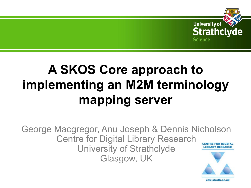

# **A SKOS Core approach to implementing an M2M terminology mapping server**

George Macgregor, Anu Joseph & Dennis Nicholson Centre for Digital Library Research **CENTRE FOR DIGITAL** University of Strathclyde **LIBRARY RESEARCH** Glasgow, UK

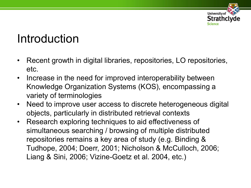

#### Introduction

- Recent growth in digital libraries, repositories, LO repositories, etc.
- Increase in the need for improved interoperability between Knowledge Organization Systems (KOS), encompassing a variety of terminologies
- Need to improve user access to discrete heterogeneous digital objects, particularly in distributed retrieval contexts
- Research exploring techniques to aid effectiveness of simultaneous searching / browsing of multiple distributed repositories remains a key area of study (e.g. Binding & Tudhope, 2004; Doerr, 2001; Nicholson & McCulloch, 2006; Liang & Sini, 2006; Vizine-Goetz et al. 2004, etc.)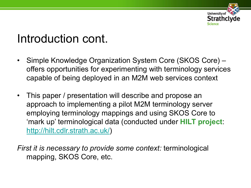

#### Introduction cont.

- Simple Knowledge Organization System Core (SKOS Core) offers opportunities for experimenting with terminology services capable of being deployed in an M2M web services context
- This paper / presentation will describe and propose an approach to implementing a pilot M2M terminology server employing terminology mappings and using SKOS Core to 'mark up' terminological data (conducted under **HILT project**: [http://hilt.cdlr.strath.ac.uk/\)](http://hilt.cdlr.strath.ac.uk/)

*First it is necessary to provide some context:* terminological mapping, SKOS Core, etc.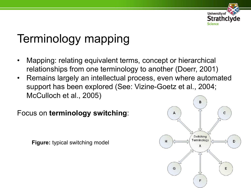

# Terminology mapping

- Mapping: relating equivalent terms, concept or hierarchical relationships from one terminology to another (Doerr, 2001)
- Remains largely an intellectual process, even where automated support has been explored (See: Vizine-Goetz et al., 2004; McCulloch et al., 2005)

Focus on **terminology switching**:

**Figure:** typical switching model

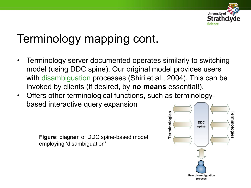

# Terminology mapping cont.

- Terminology server documented operates similarly to switching model (using DDC spine). Our original model provides users with disambiguation processes (Shiri et al., 2004). This can be invoked by clients (if desired, by **no means** essential!).
- Offers other terminological functions, such as terminologybased interactive query expansion

**Figure:** diagram of DDC spine-based model, employing 'disambiguation'

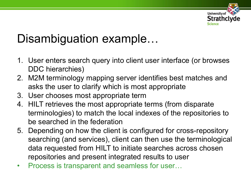

### Disambiguation example...

- 1. User enters search query into client user interface (or browses DDC hierarchies)
- 2. M2M terminology mapping server identifies best matches and asks the user to clarify which is most appropriate
- 3. User chooses most appropriate term
- 4. HILT retrieves the most appropriate terms (from disparate terminologies) to match the local indexes of the repositories to be searched in the federation
- 5. Depending on how the client is configured for cross-repository searching (and services), client can then use the terminological data requested from HILT to initiate searches across chosen repositories and present integrated results to user
- Process is transparent and seamless for user…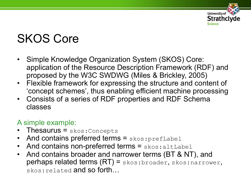

# SKOS Core

- Simple Knowledge Organization System (SKOS) Core: application of the Resource Description Framework (RDF) and proposed by the W3C SWDWG (Miles & Brickley, 2005)
- Flexible framework for expressing the structure and content of 'concept schemes', thus enabling efficient machine processing
- Consists of a series of RDF properties and RDF Schema classes

#### A simple example:

- Thesaurus = skos: Concepts
- And contains preferred terms  $=$  skos:  $prefLabel$
- And contains non-preferred terms  $=$  skos: altLabel
- And contains broader and narrower terms (BT & NT), and perhaps related terms (RT) = skos:broader, skos:narrower, skos: related and so forth...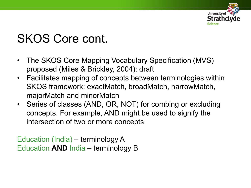

## SKOS Core cont.

- The SKOS Core Mapping Vocabulary Specification (MVS) proposed (Miles & Brickley, 2004): draft
- Facilitates mapping of concepts between terminologies within SKOS framework: exactMatch, broadMatch, narrowMatch, majorMatch and minorMatch
- Series of classes (AND, OR, NOT) for combing or excluding concepts. For example, AND might be used to signify the intersection of two or more concepts.

Education (India) – terminology A Education **AND** India – terminology B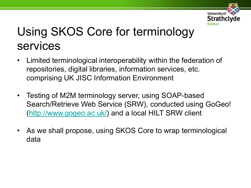

# Using SKOS Core for terminology services

- Limited terminological interoperability within the federation of repositories, digital libraries, information services, etc. comprising UK JISC Information Environment
- Testing of M2M terminology server, using SOAP-based Search/Retrieve Web Service (SRW), conducted using GoGeo! [\(http://www.gogeo.ac.uk/](http://www.gogeo.ac.uk/)) and a local HILT SRW client
- As we shall propose, using SKOS Core to wrap terminological data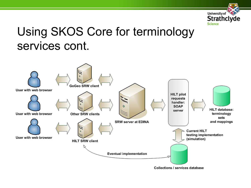

#### Using SKOS Core for terminology services cont.

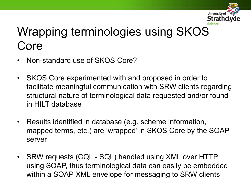

# Wrapping terminologies using SKOS Core

- Non-standard use of SKOS Core?
- SKOS Core experimented with and proposed in order to facilitate meaningful communication with SRW clients regarding structural nature of terminological data requested and/or found in HILT database
- Results identified in database (e.g. scheme information, mapped terms, etc.) are 'wrapped' in SKOS Core by the SOAP server
- SRW requests (CQL SQL) handled using XML over HTTP using SOAP, thus terminological data can easily be embedded within a SOAP XML envelope for messaging to SRW clients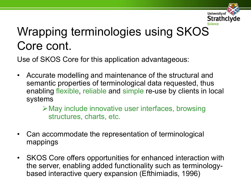

# Wrapping terminologies using SKOS Core cont.

Use of SKOS Core for this application advantageous:

• Accurate modelling and maintenance of the structural and semantic properties of terminological data requested, thus enabling flexible, reliable and simple re-use by clients in local systems

> May include innovative user interfaces, browsing structures, charts, etc.

- Can accommodate the representation of terminological mappings
- SKOS Core offers opportunities for enhanced interaction with the server, enabling added functionality such as terminologybased interactive query expansion (Efthimiadis, 1996)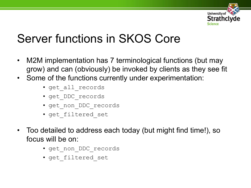

# Server functions in SKOS Core

- M2M implementation has 7 terminological functions (but may grow) and can (obviously) be invoked by clients as they see fit
- Some of the functions currently under experimentation:
	- get all records
	- get\_DDC\_records
	- get\_non\_DDC\_records
	- get\_filtered\_set
- Too detailed to address each today (but might find time!), so focus will be on:
	- get\_non\_DDC\_records
	- get filtered set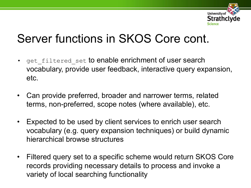

### Server functions in SKOS Core cont.

- get filtered set to enable enrichment of user search vocabulary, provide user feedback, interactive query expansion, etc.
- Can provide preferred, broader and narrower terms, related terms, non-preferred, scope notes (where available), etc.
- Expected to be used by client services to enrich user search vocabulary (e.g. query expansion techniques) or build dynamic hierarchical browse structures
- Filtered query set to a specific scheme would return SKOS Core records providing necessary details to process and invoke a variety of local searching functionality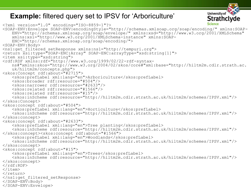#### **Example:** filtered query set to IPSV for 'Arboriculture'

```
Science
<?xml version="1.0" encoding="ISO-8859-1"?>
<SOAP-ENV:Envelope SOAP-ENV:encodingStyle="http://schemas.xmlsoap.org/soap/encoding/" xmlns:SOAP-
   ENV="http://schemas.xmlsoap.org/soap/envelope/" xmlns:xsd="http://www.w3.org/2001/XMLSchema" 
   xmlns:xsi="http://www.w3.org/2001/XMLSchema-instance" xmlns:SOAP-
   ENC="http://schemas.xmlsoap.org/soap/encoding/">
<SOAP-ENV:Body>
<ns1:get_filtered_setResponse xmlns:ns1="http://tempuri.org">
<return xsi:type="SOAP-ENC:Array" SOAP-ENC:arrayType="xsd:string[1]">
<item xsi:type="xsd:string">
<rdf:RDF xmlns:rdf="http://www.w3.org/1999/02/22-rdf-syntax-
   ns#"xmlns:skos="http://www.w3.org/2004/02/skos/core#"xml:base="http://hiltm2m.cdlr.strath.ac.
   uk/hiltm2m/concepts.php">
<skos:Concept rdf:about="#2715">
   <skos:prefLabel xml:lang="en">Arboriculture</skos:prefLabel>
   <skos:broader rdf:resource="#504"/>
   <skos:narrower rdf:resource="#2633"/>
   <skos:related rdf:resource="#1566"/>
   <skos:related rdf:resource="#15"/>
   <skos:inScheme rdf:resource="http://hiltm2m.cdlr.strath.ac.uk/hiltm2m/schemes/IPSV.xml"/>
</skos:Concept>
<skos:concept rdf:about="#504">
   <skos:prefLabel xml:lang="en">Horticulture</skos:prefLabel>
   <skos:inScheme rdf:resource="http://hiltm2m.cdlr.strath.ac.uk/hiltm2m/schemes/IPSV.xml"/>
</skos:concept>
<skos:concept rdf:about="#2633">
   <skos:prefLabel xml:lang="en">Tree planting</skos:prefLabel>
   <skos:inScheme rdf:resource="http://hiltm2m.cdlr.strath.ac.uk/hiltm2m/schemes/IPSV.xml"/>
</skos:concept><skos:concept rdf:about="#1566">
   <skos:prefLabel xml:lang="en">Woodlands</skos:prefLabel>
   <skos:inScheme rdf:resource="http://hiltm2m.cdlr.strath.ac.uk/hiltm2m/schemes/IPSV.xml"/>
</skos:concept>
<skos:concept rdf:about="#15">
   <skos:prefLabel xml:lang="en">Trees</skos:prefLabel>
   <skos:inScheme rdf:resource="http://hiltm2m.cdlr.strath.ac.uk/hiltm2m/schemes/IPSV.xml"/>
</skos:concept>
\langlerdf:RDF>
\langleitem\rangle\langlereturn>
</ns1:get_filtered_setResponse>
\langle/SOAP-EN\overline{V}:Body>
</SOAP-ENV:Envelope>
```
**University of** 

**Strathclyde**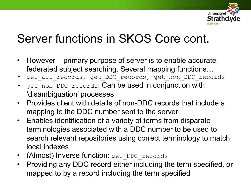

## Server functions in SKOS Core cont.

- However primary purpose of server is to enable accurate federated subject searching. Several mapping functions…
- get all records, get DDC records, get non DDC records
- get non DDC records: Can be used in conjunction with 'disambiguation' processes
- Provides client with details of non-DDC records that include a mapping to the DDC number sent to the server
- Enables identification of a variety of terms from disparate terminologies associated with a DDC number to be used to search relevant repositories using correct terminology to match local indexes
- (Almost) Inverse function: get DDC records
- Providing any DDC record either including the term specified, or mapped to by a record including the term specified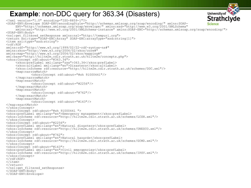#### **Example**: non-DDC query for 363.34 (Disasters)

```
Stratho
<?xml version="1.0" encoding="ISO-8859-1"?>
<SOAP-ENV:Envelope SOAP-ENV:encodingStyle="http://schemas.xmlsoap.org/soap/encoding/" xmlns:SOAP-
                                                                                                              Science
     ENV="http://schemas.xmlsoap.org/soap/envelope/" xmlns:xsd="http://www.w3.org/2001/XMLSchema" 
     xmlns:xsi="http://www.w3.org/2001/XMLSchema-instance" xmlns:SOAP-ENC="http://schemas.xmlsoap.org/soap/encoding/">
<SOAP-ENV:Body>
<ns1:get_filtered_setResponse xmlns:ns1="http://tempuri.org">
<return xsi:type="SOAP-ENC:Array" SOAP-ENC:arrayType="xsd:string[1]">
<item xsi:type="xsd:string">
<rdf:RDF
xmlns:rdf="http://www.w3.org/1999/02/22-rdf-syntax-ns#"
xmlns:skos="http://www.w3.org/2004/02/skos/core#"
xmlns:map="http://www.w3.org/2004/02/skos/mapping#"
xml:base="http://hiltm2m.cdlr.strath.ac.uk/hiltm2m/concepts.php">
<skos:Concept rdf:about="#363.34">
     <skos:prefLabel xml:lang="zxx">363.34</skos:prefLabel>
     <skos:altLabel xml:lang="en">Disasters</skos:altLabel>
     <skos:inScheme rdf:resource="http://hiltm2m.cdlr.strath.ac.uk/schemes/DDC.xml"/>
     <map:narrowMatch>
             <skos:Concept rdf:about="#sh 91000441"/> 
     </map:narrowMatch>
     <map:exactMatch>
             <skos:Concept rdf:about="#2256"/>
     </map:exactMatch>
     <map:exactMatch>
             <skos:Concept rdf:about="#762"/>
     </map:exactMatch>
     <map:exactMatch>
             <skos:Concept rdf:about="#143"/> 
</map:exactMatch>
</skos:Concept>
<skos:Concept rdf:about="#sh 91000441 ">
<skos:prefLabel xml:lang="en">Emergency management</skos:prefLabel>
<skos:inScheme rdf:resource="http://hiltm2m.cdlr.strath.ac.uk/schemes/LCSH.xml"/>
</skos:Concept>
<skos:Concept rdf:about="#2256">
<skos:prefLabel xml:lang="en">Natural disasters</skos:prefLabel>
<skos:inScheme rdf:resource="http://hiltm2m.cdlr.strath.ac.uk/schemes/UNESCO.xml"/>
</skos:Concept>
<skos:Concept rdf:about="#762">
<skos:prefLabel xml:lang="en">Natural hazards</skos:prefLabel>
<skos:inScheme rdf:resource="http://hiltm2m.cdlr.strath.ac.uk/schemes/GCMD.xml"/>
</skos:Concept>
<skos:Concept rdf:about="#143">
<skos:prefLabel xml:lang="en">Civil emergencies</skos:prefLabel>
<skos:inScheme rdf:resource="http://hiltm2m.cdlr.strath.ac.uk/schemes/IPSV.xml"/>
</skos:Concept>
\langle /rdf:RDF>
\langleitem\rangle\langlereturn\rangle</ns1:get_filtered_setResponse>
</SOAP-ENV:Body>
</SOAP-ENV:Envelope>
```
**University of**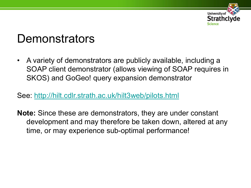

#### **Demonstrators**

• A variety of demonstrators are publicly available, including a SOAP client demonstrator (allows viewing of SOAP requires in SKOS) and GoGeo! query expansion demonstrator

See:<http://hilt.cdlr.strath.ac.uk/hilt3web/pilots.html>

**Note:** Since these are demonstrators, they are under constant development and may therefore be taken down, altered at any time, or may experience sub-optimal performance!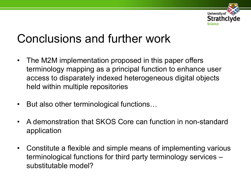

## Conclusions and further work

- The M2M implementation proposed in this paper offers terminology mapping as a principal function to enhance user access to disparately indexed heterogeneous digital objects held within multiple repositories
- But also other terminological functions…
- A demonstration that SKOS Core can function in non-standard application
- Constitute a flexible and simple means of implementing various terminological functions for third party terminology services – substitutable model?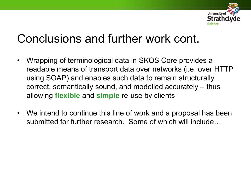

#### Conclusions and further work cont.

- Wrapping of terminological data in SKOS Core provides a readable means of transport data over networks (i.e. over HTTP using SOAP) and enables such data to remain structurally correct, semantically sound, and modelled accurately – thus allowing **flexible** and **simple** re-use by clients
- We intend to continue this line of work and a proposal has been submitted for further research. Some of which will include…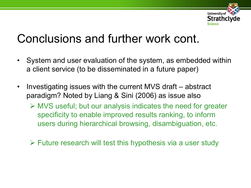

#### Conclusions and further work cont.

- System and user evaluation of the system, as embedded within a client service (to be disseminated in a future paper)
- Investigating issues with the current MVS draft abstract paradigm? Noted by Liang & Sini (2006) as issue also
	- MVS useful; but our analysis indicates the need for greater specificity to enable improved results ranking, to inform users during hierarchical browsing, disambiguation, etc.
	- $\triangleright$  Future research will test this hypothesis via a user study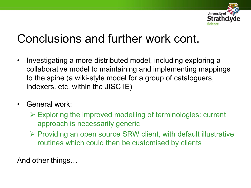

### Conclusions and further work cont.

- Investigating a more distributed model, including exploring a collaborative model to maintaining and implementing mappings to the spine (a wiki-style model for a group of cataloguers, indexers, etc. within the JISC IE)
- General work:
	- $\triangleright$  Exploring the improved modelling of terminologies: current approach is necessarily generic
	- $\triangleright$  Providing an open source SRW client, with default illustrative routines which could then be customised by clients

And other things…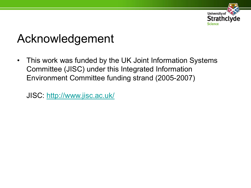

### Acknowledgement

• This work was funded by the UK Joint Information Systems Committee (JISC) under this Integrated Information Environment Committee funding strand (2005-2007)

JISC:<http://www.jisc.ac.uk/>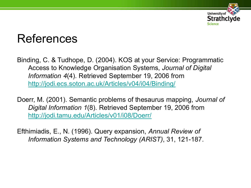

#### References

Binding, C. & Tudhope, D. (2004). KOS at your Service: Programmatic Access to Knowledge Organisation Systems, *Journal of Digital Information 4*(4). Retrieved September 19, 2006 from <http://jodi.ecs.soton.ac.uk/Articles/v04/i04/Binding/>

Doerr, M. (2001). Semantic problems of thesaurus mapping, *Journal of Digital Information 1*(8). Retrieved September 19, 2006 from <http://jodi.tamu.edu/Articles/v01/i08/Doerr/>

Efthimiadis, E., N. (1996). Query expansion, *Annual Review of Information Systems and Technology (ARIST)*, 31, 121-187.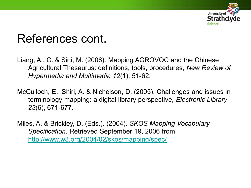

#### References cont.

- Liang, A., C. & Sini, M. (2006). Mapping AGROVOC and the Chinese Agricultural Thesaurus: definitions, tools, procedures, *New Review of Hypermedia and Multimedia 12*(1), 51-62.
- McCulloch, E., Shiri, A. & Nicholson, D. (2005). Challenges and issues in terminology mapping: a digital library perspective, *Electronic Library 23*(6), 671-677.
- Miles, A. & Brickley, D. (Eds.). (2004). *SKOS Mapping Vocabulary Specification*. Retrieved September 19, 2006 from <http://www.w3.org/2004/02/skos/mapping/spec/>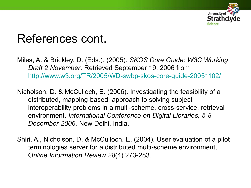

#### References cont.

- Miles, A. & Brickley, D. (Eds.). (2005). *SKOS Core Guide: W3C Working Draft 2 November*. Retrieved September 19, 2006 from <http://www.w3.org/TR/2005/WD-swbp-skos-core-guide-20051102/>
- Nicholson, D. & McCulloch, E. (2006). Investigating the feasibility of a distributed, mapping-based, approach to solving subject interoperability problems in a multi-scheme, cross-service, retrieval environment, *International Conference on Digital Libraries, 5-8 December 2006*, New Delhi, India.
- Shiri, A., Nicholson, D. & McCulloch, E. (2004). User evaluation of a pilot terminologies server for a distributed multi-scheme environment, O*nline Information Review 28*(4) 273-283.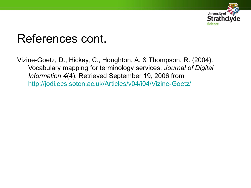

#### References cont.

Vizine-Goetz, D., Hickey, C., Houghton, A. & Thompson, R. (2004). Vocabulary mapping for terminology services, *Journal of Digital Information 4*(4). Retrieved September 19, 2006 from <http://jodi.ecs.soton.ac.uk/Articles/v04/i04/Vizine-Goetz/>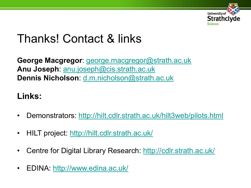

#### Thanks! Contact & links

**George Macgregor**: [george.macgregor@strath.ac.uk](mailto:george.macgregor@strath.ac.uk) **Anu Joseph**: [anu.joseph@cis.strath.ac.uk](mailto:anu.joseph@cis.strath.ac.uk) **Dennis Nicholson**: [d.m.nicholson@strath.ac.uk](mailto:d.m.nicholson@strath.ac.uk)

#### **Links:**

- Demonstrators: <http://hilt.cdlr.strath.ac.uk/hilt3web/pilots.html>
- HILT project:<http://hilt.cdlr.strath.ac.uk/>
- Centre for Digital Library Research: <http://cdlr.strath.ac.uk/>
- EDINA:<http://www.edina.ac.uk/>